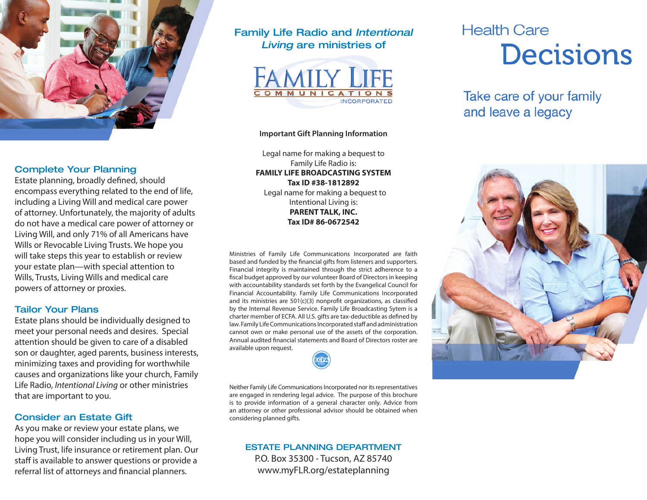

# Complete Your Planning

Estate planning, broadly defined, should encompass everything related to the end of life, including a Living Will and medical care power of attorney. Unfortunately, the majority of adults do not have a medical care power of attorney or Living Will, and only 71% of all Americans have Wills or Revocable Living Trusts. We hope you will take steps this year to establish or review your estate plan—with special attention to Wills, Trusts, Living Wills and medical care powers of attorney or proxies.

### Tailor Your Plans

Estate plans should be individually designed to meet your personal needs and desires. Special attention should be given to care of a disabled son or daughter, aged parents, business interests, minimizing taxes and providing for worthwhile causes and organizations like your church, Family Life Radio, *Intentional Living* or other ministries that are important to you.

# Consider an Estate Gift

As you make or review your estate plans, we hope you will consider including us in your Will, Living Trust, life insurance or retirement plan. Our staff is available to answer questions or provide a referral list of attorneys and financial planners.

# Family Life Radio and *Intentional Living* are ministries of



#### **Important Gift Planning Information**

Legal name for making a bequest to Family Life Radio is: **FAMILY LIFE BROADCASTING SYSTEM Tax ID #38-1812892** Legal name for making a bequest to Intentional Living is: **PARENT TALK, INC. Tax ID# 86-0672542**

Ministries of Family Life Communications Incorporated are faith based and funded by the financial gifts from listeners and supporters. Financial integrity is maintained through the strict adherence to a fiscal budget approved by our volunteer Board of Directors in keeping with accountability standards set forth by the Evangelical Council for Financial Accountability. Family Life Communications Incorporated and its ministries are 501(c)(3) nonprofit organizations, as classified by the Internal Revenue Service. Family Life Broadcasting Sytem is a charter member of ECFA. All U.S. gifts are tax-deductible as defined by law. Family Life Communications Incorporated staff and administration cannot own or make personal use of the assets of the corporation. Annual audited financial statements and Board of Directors roster are available upon request.

Neither Family Life Communications Incorporated nor its representatives are engaged in rendering legal advice. The purpose of this brochure is to provide information of a general character only. Advice from an attorney or other professional advisor should be obtained when considering planned gifts.

### ESTATE PLANNING DEPARTMENT P.O. Box 35300 - Tucson, AZ 85740 www.myFLR.org/estateplanning

# **Health Care Decisions**

Take care of your family and leave a legacy